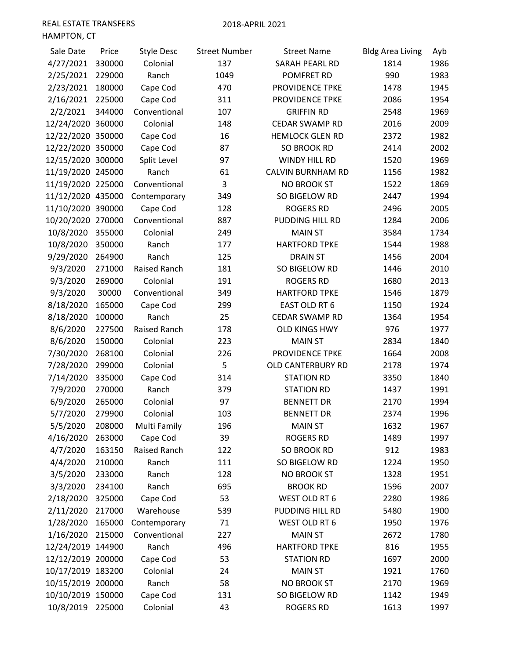| Sale Date         | Price  | <b>Style Desc</b> | <b>Street Number</b> | <b>Street Name</b>       | <b>Bldg Area Living</b> | Ayb  |
|-------------------|--------|-------------------|----------------------|--------------------------|-------------------------|------|
| 4/27/2021         | 330000 | Colonial          | 137                  | SARAH PEARL RD           | 1814                    | 1986 |
| 2/25/2021         | 229000 | Ranch             | 1049                 | POMFRET RD               | 990                     | 1983 |
| 2/23/2021         | 180000 | Cape Cod          | 470                  | PROVIDENCE TPKE          | 1478                    | 1945 |
| 2/16/2021         | 225000 | Cape Cod          | 311                  | PROVIDENCE TPKE          | 2086                    | 1954 |
| 2/2/2021          | 344000 | Conventional      | 107                  | <b>GRIFFIN RD</b>        | 2548                    | 1969 |
| 12/24/2020 360000 |        | Colonial          | 148                  | <b>CEDAR SWAMP RD</b>    | 2016                    | 2009 |
| 12/22/2020 350000 |        | Cape Cod          | 16                   | <b>HEMLOCK GLEN RD</b>   | 2372                    | 1982 |
| 12/22/2020 350000 |        | Cape Cod          | 87                   | <b>SO BROOK RD</b>       | 2414                    | 2002 |
| 12/15/2020 300000 |        | Split Level       | 97                   | WINDY HILL RD            | 1520                    | 1969 |
| 11/19/2020 245000 |        | Ranch             | 61                   | <b>CALVIN BURNHAM RD</b> | 1156                    | 1982 |
| 11/19/2020 225000 |        | Conventional      | 3                    | <b>NO BROOK ST</b>       | 1522                    | 1869 |
| 11/12/2020 435000 |        | Contemporary      | 349                  | SO BIGELOW RD            | 2447                    | 1994 |
| 11/10/2020 390000 |        | Cape Cod          | 128                  | <b>ROGERS RD</b>         | 2496                    | 2005 |
| 10/20/2020 270000 |        | Conventional      | 887                  | PUDDING HILL RD          | 1284                    | 2006 |
| 10/8/2020         | 355000 | Colonial          | 249                  | <b>MAIN ST</b>           | 3584                    | 1734 |
| 10/8/2020         | 350000 | Ranch             | 177                  | <b>HARTFORD TPKE</b>     | 1544                    | 1988 |
| 9/29/2020         | 264900 | Ranch             | 125                  | <b>DRAIN ST</b>          | 1456                    | 2004 |
| 9/3/2020          | 271000 | Raised Ranch      | 181                  | SO BIGELOW RD            | 1446                    | 2010 |
| 9/3/2020          | 269000 | Colonial          | 191                  | <b>ROGERS RD</b>         | 1680                    | 2013 |
| 9/3/2020          | 30000  | Conventional      | 349                  | <b>HARTFORD TPKE</b>     | 1546                    | 1879 |
| 8/18/2020         | 165000 | Cape Cod          | 299                  | EAST OLD RT 6            | 1150                    | 1924 |
| 8/18/2020         | 100000 | Ranch             | 25                   | CEDAR SWAMP RD           | 1364                    | 1954 |
| 8/6/2020          | 227500 | Raised Ranch      | 178                  | <b>OLD KINGS HWY</b>     | 976                     | 1977 |
| 8/6/2020          | 150000 | Colonial          | 223                  | <b>MAIN ST</b>           | 2834                    | 1840 |
| 7/30/2020         | 268100 | Colonial          | 226                  | PROVIDENCE TPKE          | 1664                    | 2008 |
| 7/28/2020         | 299000 | Colonial          | 5                    | OLD CANTERBURY RD        | 2178                    | 1974 |
| 7/14/2020         | 335000 | Cape Cod          | 314                  | <b>STATION RD</b>        | 3350                    | 1840 |
| 7/9/2020          | 270000 | Ranch             | 379                  | <b>STATION RD</b>        | 1437                    | 1991 |
| 6/9/2020          | 265000 | Colonial          | 97                   | <b>BENNETT DR</b>        | 2170                    | 1994 |
| 5/7/2020          | 279900 | Colonial          | 103                  | <b>BENNETT DR</b>        | 2374                    | 1996 |
| 5/5/2020          | 208000 | Multi Family      | 196                  | <b>MAIN ST</b>           | 1632                    | 1967 |
| 4/16/2020         | 263000 | Cape Cod          | 39                   | <b>ROGERS RD</b>         | 1489                    | 1997 |
| 4/7/2020          | 163150 | Raised Ranch      | 122                  | <b>SO BROOK RD</b>       | 912                     | 1983 |
| 4/4/2020          | 210000 | Ranch             | 111                  | SO BIGELOW RD            | 1224                    | 1950 |
| 3/5/2020          | 233000 | Ranch             | 128                  | NO BROOK ST              | 1328                    | 1951 |
| 3/3/2020          | 234100 | Ranch             | 695                  | <b>BROOK RD</b>          | 1596                    | 2007 |
| 2/18/2020         | 325000 | Cape Cod          | 53                   | WEST OLD RT 6            | 2280                    | 1986 |
| 2/11/2020         | 217000 | Warehouse         | 539                  | PUDDING HILL RD          | 5480                    | 1900 |
| 1/28/2020         | 165000 | Contemporary      | 71                   | WEST OLD RT 6            | 1950                    | 1976 |
| 1/16/2020         | 215000 | Conventional      | 227                  | <b>MAIN ST</b>           | 2672                    | 1780 |
| 12/24/2019 144900 |        | Ranch             | 496                  | <b>HARTFORD TPKE</b>     | 816                     | 1955 |
| 12/12/2019 200000 |        | Cape Cod          | 53                   | <b>STATION RD</b>        | 1697                    | 2000 |
| 10/17/2019 183200 |        | Colonial          | 24                   | <b>MAIN ST</b>           | 1921                    | 1760 |
| 10/15/2019 200000 |        | Ranch             | 58                   | NO BROOK ST              | 2170                    | 1969 |
| 10/10/2019 150000 |        | Cape Cod          | 131                  | SO BIGELOW RD            | 1142                    | 1949 |
| 10/8/2019         | 225000 | Colonial          | 43                   | <b>ROGERS RD</b>         | 1613                    | 1997 |